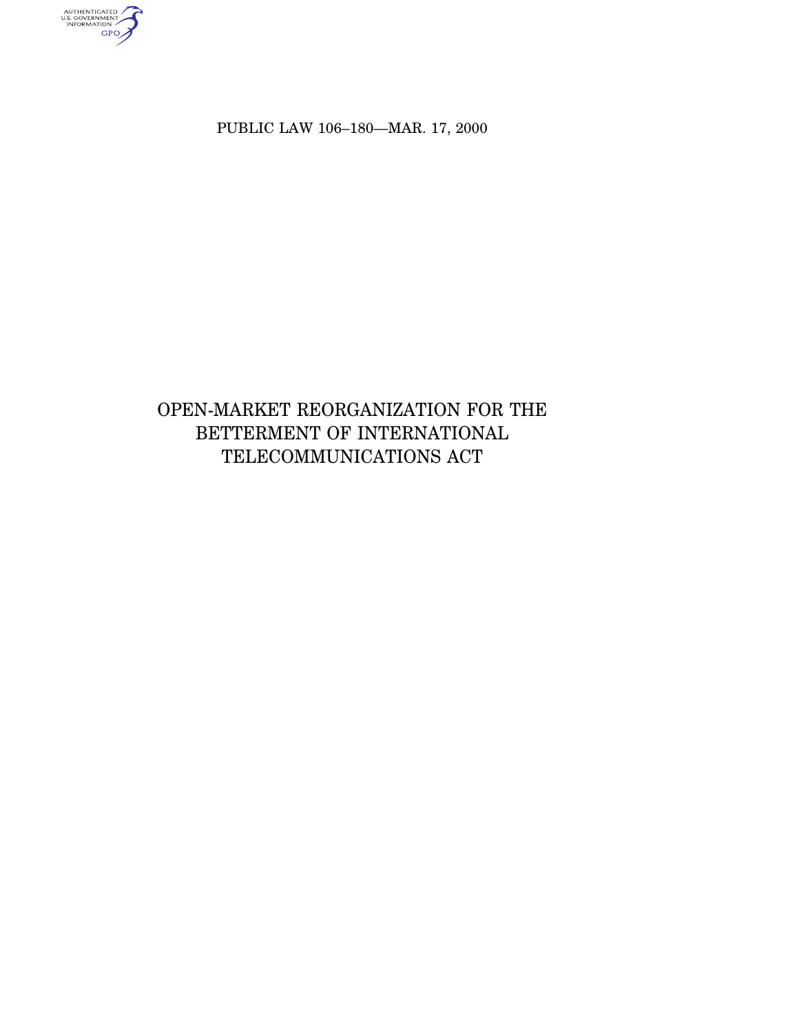PUBLIC LAW 106–180—MAR. 17, 2000

AUTHENTICATED<br>U.S. GOVERNMENT

# OPEN-MARKET REORGANIZATION FOR THE BETTERMENT OF INTERNATIONAL TELECOMMUNICATIONS ACT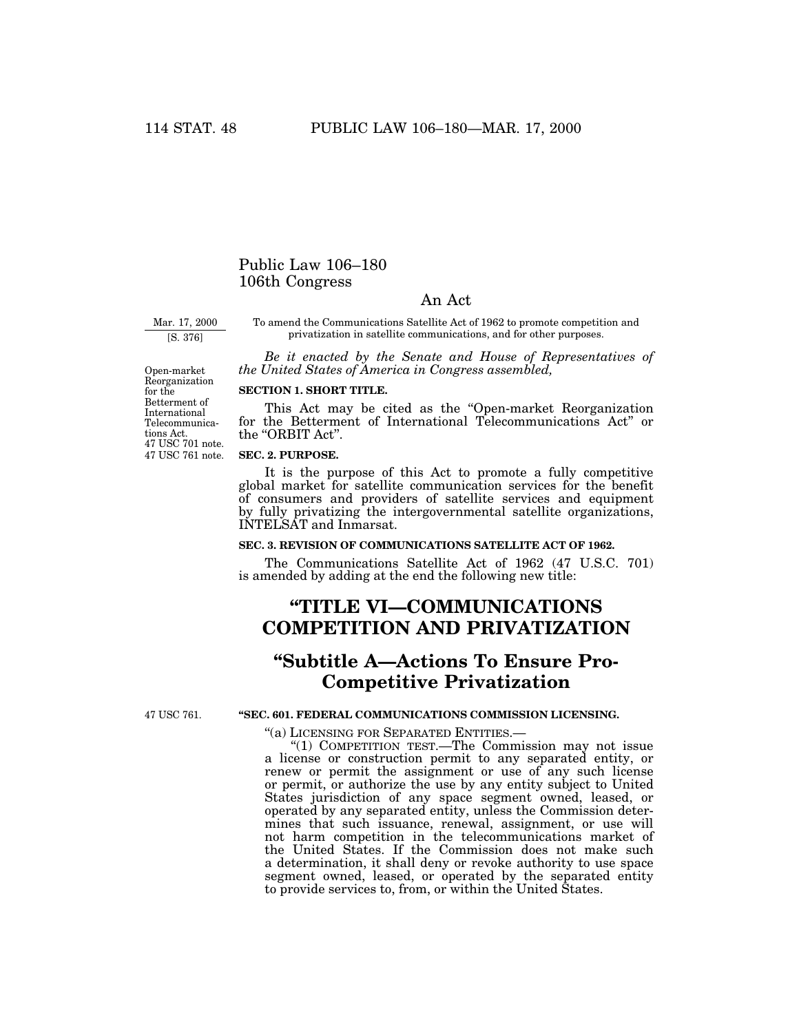## Public Law 106–180 106th Congress

## An Act

Mar. 17, 2000 [S. 376]

To amend the Communications Satellite Act of 1962 to promote competition and privatization in satellite communications, and for other purposes.

*Be it enacted by the Senate and House of Representatives of the United States of America in Congress assembled,*

### **SECTION 1. SHORT TITLE.**

This Act may be cited as the ''Open-market Reorganization for the Betterment of International Telecommunications Act'' or the "ORBIT Act".

#### **SEC. 2. PURPOSE.**

It is the purpose of this Act to promote a fully competitive global market for satellite communication services for the benefit of consumers and providers of satellite services and equipment by fully privatizing the intergovernmental satellite organizations, INTELSAT and Inmarsat.

### **SEC. 3. REVISION OF COMMUNICATIONS SATELLITE ACT OF 1962.**

The Communications Satellite Act of 1962 (47 U.S.C. 701) is amended by adding at the end the following new title:

# **''TITLE VI—COMMUNICATIONS COMPETITION AND PRIVATIZATION**

# **''Subtitle A—Actions To Ensure Pro-Competitive Privatization**

47 USC 761.

### **''SEC. 601. FEDERAL COMMUNICATIONS COMMISSION LICENSING.**

''(a) LICENSING FOR SEPARATED ENTITIES.—

''(1) COMPETITION TEST.—The Commission may not issue a license or construction permit to any separated entity, or renew or permit the assignment or use of any such license or permit, or authorize the use by any entity subject to United States jurisdiction of any space segment owned, leased, or operated by any separated entity, unless the Commission determines that such issuance, renewal, assignment, or use will not harm competition in the telecommunications market of the United States. If the Commission does not make such a determination, it shall deny or revoke authority to use space segment owned, leased, or operated by the separated entity to provide services to, from, or within the United States.

47 USC 761 note. 47 USC 701 note. Open-market Reorganization for the Betterment of International Telecommunications Act.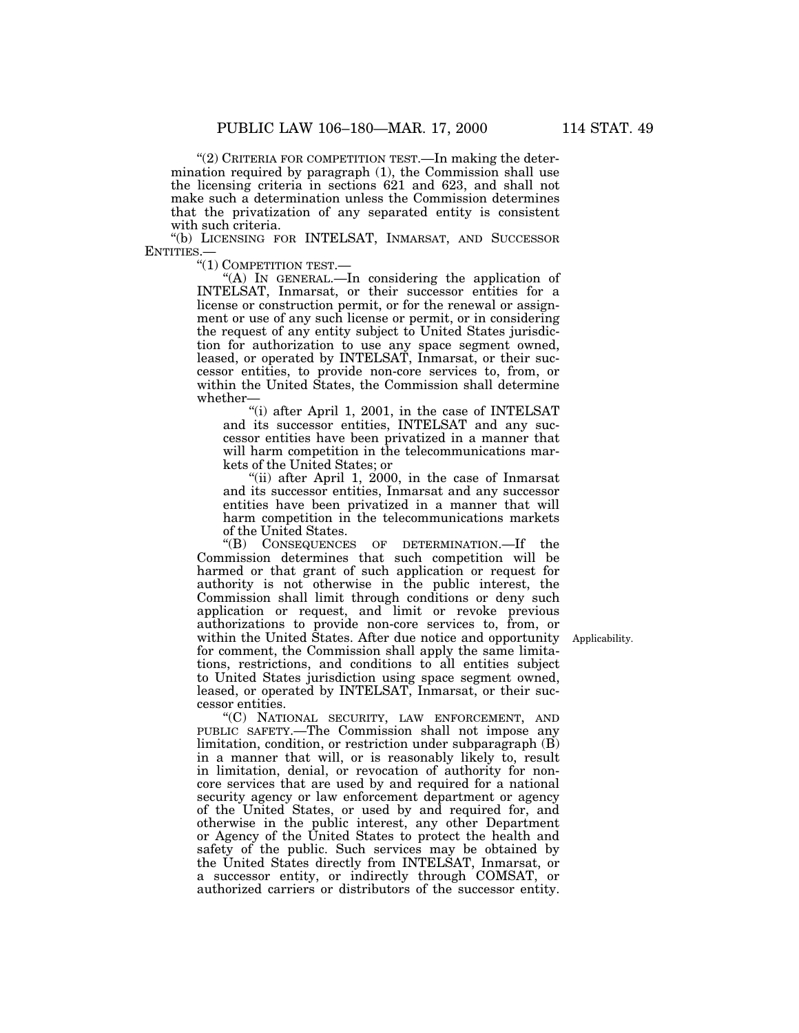''(2) CRITERIA FOR COMPETITION TEST.—In making the determination required by paragraph (1), the Commission shall use the licensing criteria in sections 621 and 623, and shall not make such a determination unless the Commission determines that the privatization of any separated entity is consistent with such criteria.

''(b) LICENSING FOR INTELSAT, INMARSAT, AND SUCCESSOR ENTITIES.—

''(1) COMPETITION TEST.—

''(A) IN GENERAL.—In considering the application of INTELSAT, Inmarsat, or their successor entities for a license or construction permit, or for the renewal or assignment or use of any such license or permit, or in considering the request of any entity subject to United States jurisdiction for authorization to use any space segment owned, leased, or operated by INTELSAT, Inmarsat, or their successor entities, to provide non-core services to, from, or within the United States, the Commission shall determine whether—

"(i) after April 1, 2001, in the case of INTELSAT and its successor entities, INTELSAT and any successor entities have been privatized in a manner that will harm competition in the telecommunications markets of the United States; or

''(ii) after April 1, 2000, in the case of Inmarsat and its successor entities, Inmarsat and any successor entities have been privatized in a manner that will harm competition in the telecommunications markets of the United States.<br>"(B) CONSEQUENCE

CONSEQUENCES OF DETERMINATION.—If the Commission determines that such competition will be harmed or that grant of such application or request for authority is not otherwise in the public interest, the Commission shall limit through conditions or deny such application or request, and limit or revoke previous authorizations to provide non-core services to, from, or within the United States. After due notice and opportunity for comment, the Commission shall apply the same limitations, restrictions, and conditions to all entities subject to United States jurisdiction using space segment owned, leased, or operated by INTELSAT, Inmarsat, or their successor entities.

''(C) NATIONAL SECURITY, LAW ENFORCEMENT, AND PUBLIC SAFETY.—The Commission shall not impose any limitation, condition, or restriction under subparagraph (B) in a manner that will, or is reasonably likely to, result in limitation, denial, or revocation of authority for noncore services that are used by and required for a national security agency or law enforcement department or agency of the United States, or used by and required for, and otherwise in the public interest, any other Department or Agency of the United States to protect the health and safety of the public. Such services may be obtained by the United States directly from INTELSAT, Inmarsat, or a successor entity, or indirectly through COMSAT, or authorized carriers or distributors of the successor entity.

Applicability.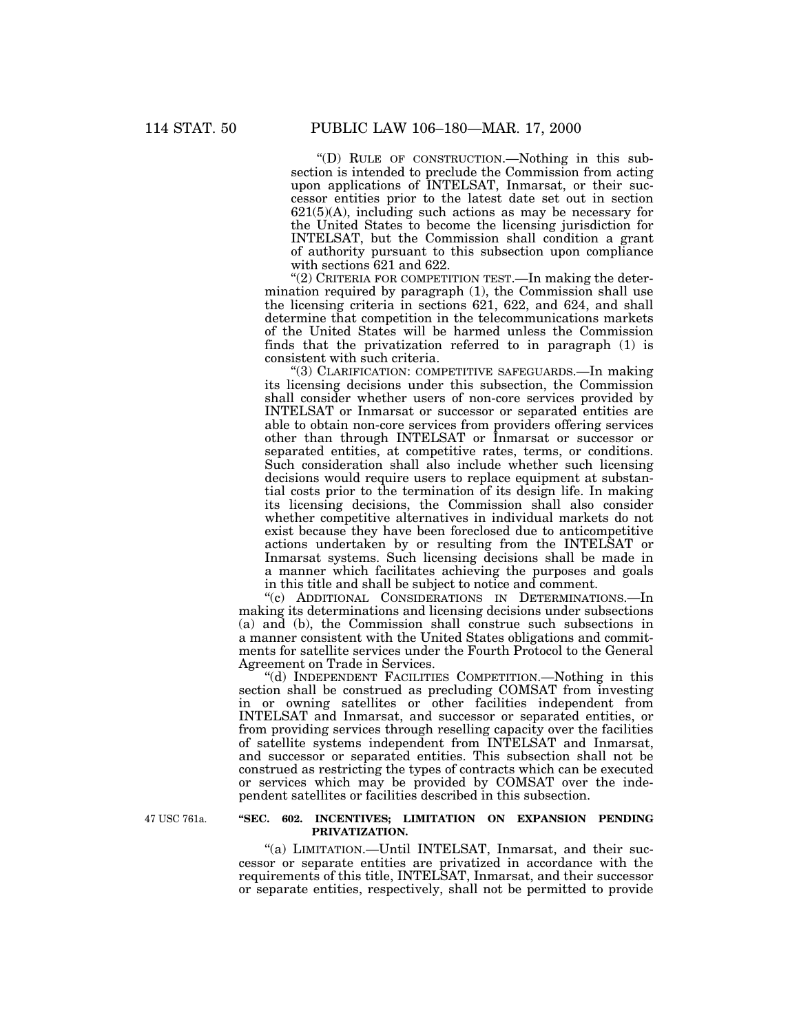''(D) RULE OF CONSTRUCTION.—Nothing in this subsection is intended to preclude the Commission from acting upon applications of INTELSAT, Inmarsat, or their successor entities prior to the latest date set out in section  $621(5)(A)$ , including such actions as may be necessary for the United States to become the licensing jurisdiction for INTELSAT, but the Commission shall condition a grant of authority pursuant to this subsection upon compliance with sections 621 and 622.

''(2) CRITERIA FOR COMPETITION TEST.—In making the determination required by paragraph (1), the Commission shall use the licensing criteria in sections 621, 622, and 624, and shall determine that competition in the telecommunications markets of the United States will be harmed unless the Commission finds that the privatization referred to in paragraph (1) is consistent with such criteria.

''(3) CLARIFICATION: COMPETITIVE SAFEGUARDS.—In making its licensing decisions under this subsection, the Commission shall consider whether users of non-core services provided by INTELSAT or Inmarsat or successor or separated entities are able to obtain non-core services from providers offering services other than through INTELSAT or Inmarsat or successor or separated entities, at competitive rates, terms, or conditions. Such consideration shall also include whether such licensing decisions would require users to replace equipment at substantial costs prior to the termination of its design life. In making its licensing decisions, the Commission shall also consider whether competitive alternatives in individual markets do not exist because they have been foreclosed due to anticompetitive actions undertaken by or resulting from the INTELSAT or Inmarsat systems. Such licensing decisions shall be made in a manner which facilitates achieving the purposes and goals in this title and shall be subject to notice and comment.

''(c) ADDITIONAL CONSIDERATIONS IN DETERMINATIONS.—In making its determinations and licensing decisions under subsections (a) and (b), the Commission shall construe such subsections in a manner consistent with the United States obligations and commitments for satellite services under the Fourth Protocol to the General Agreement on Trade in Services.

''(d) INDEPENDENT FACILITIES COMPETITION.—Nothing in this section shall be construed as precluding COMSAT from investing in or owning satellites or other facilities independent from INTELSAT and Inmarsat, and successor or separated entities, or from providing services through reselling capacity over the facilities of satellite systems independent from INTELSAT and Inmarsat, and successor or separated entities. This subsection shall not be construed as restricting the types of contracts which can be executed or services which may be provided by COMSAT over the independent satellites or facilities described in this subsection.

#### **''SEC. 602. INCENTIVES; LIMITATION ON EXPANSION PENDING PRIVATIZATION.**

''(a) LIMITATION.—Until INTELSAT, Inmarsat, and their successor or separate entities are privatized in accordance with the requirements of this title, INTELSAT, Inmarsat, and their successor or separate entities, respectively, shall not be permitted to provide

47 USC 761a.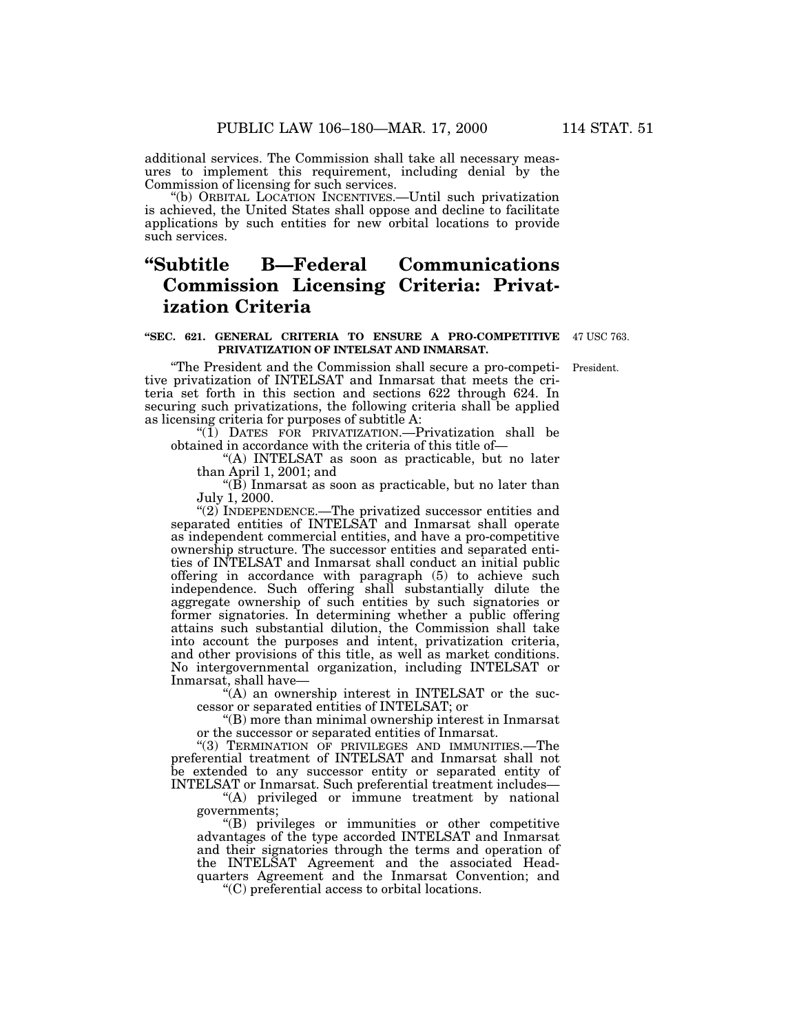additional services. The Commission shall take all necessary measures to implement this requirement, including denial by the Commission of licensing for such services.

''(b) ORBITAL LOCATION INCENTIVES.—Until such privatization is achieved, the United States shall oppose and decline to facilitate applications by such entities for new orbital locations to provide such services.

# **''Subtitle B—Federal Communications Commission Licensing Criteria: Privatization Criteria**

#### **''SEC. 621. GENERAL CRITERIA TO ENSURE A PRO-COMPETITIVE** 47 USC 763. **PRIVATIZATION OF INTELSAT AND INMARSAT.**

''The President and the Commission shall secure a pro-competi-President. tive privatization of INTELSAT and Inmarsat that meets the criteria set forth in this section and sections 622 through 624. In securing such privatizations, the following criteria shall be applied as licensing criteria for purposes of subtitle A:

"(I) DATES FOR PRIVATIZATION.—Privatization shall be obtained in accordance with the criteria of this title of—

''(A) INTELSAT as soon as practicable, but no later than April 1, 2001; and

''(B) Inmarsat as soon as practicable, but no later than July 1, 2000.

"(2) INDEPENDENCE.—The privatized successor entities and separated entities of INTELSAT and Inmarsat shall operate as independent commercial entities, and have a pro-competitive ownership structure. The successor entities and separated entities of INTELSAT and Inmarsat shall conduct an initial public offering in accordance with paragraph (5) to achieve such independence. Such offering shall substantially dilute the aggregate ownership of such entities by such signatories or former signatories. In determining whether a public offering attains such substantial dilution, the Commission shall take into account the purposes and intent, privatization criteria, and other provisions of this title, as well as market conditions. No intergovernmental organization, including INTELSAT or Inmarsat, shall have—

 $\sqrt{'}$ (A) an ownership interest in INTELSAT or the successor or separated entities of INTELSAT; or

''(B) more than minimal ownership interest in Inmarsat or the successor or separated entities of Inmarsat.

"(3) TERMINATION OF PRIVILEGES AND IMMUNITIES.—The preferential treatment of INTELSAT and Inmarsat shall not be extended to any successor entity or separated entity of INTELSAT or Inmarsat. Such preferential treatment includes—

''(A) privileged or immune treatment by national governments;

''(B) privileges or immunities or other competitive advantages of the type accorded INTELSAT and Inmarsat and their signatories through the terms and operation of the INTELSAT Agreement and the associated Headquarters Agreement and the Inmarsat Convention; and

''(C) preferential access to orbital locations.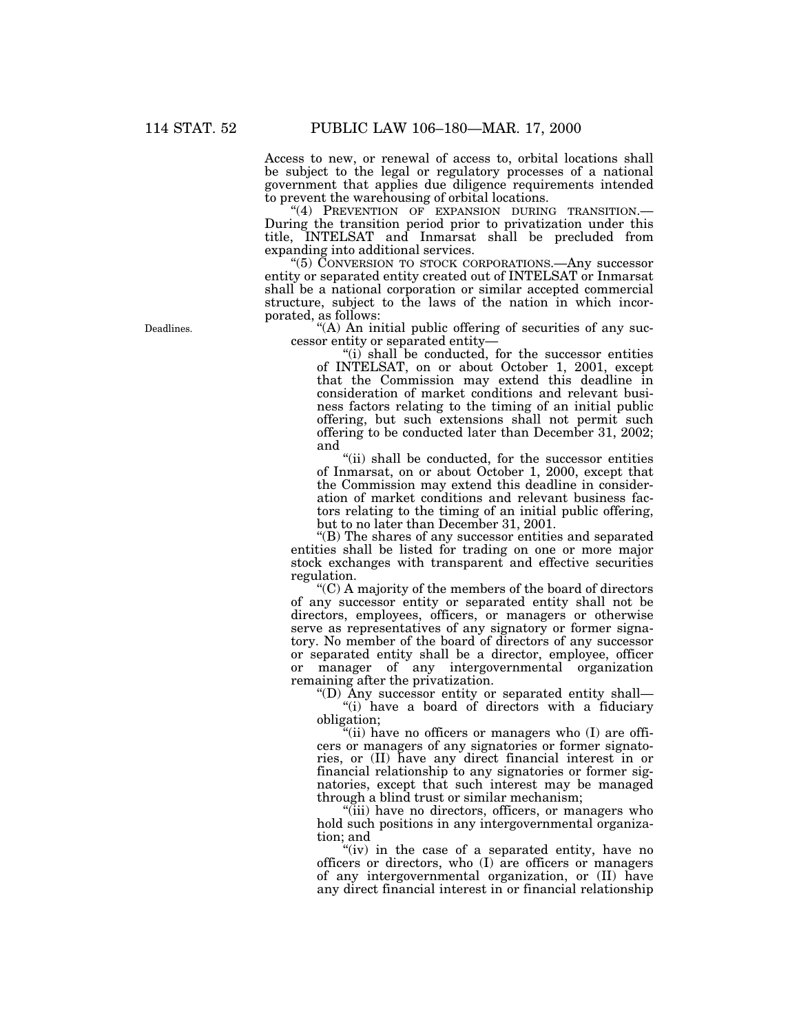Access to new, or renewal of access to, orbital locations shall be subject to the legal or regulatory processes of a national government that applies due diligence requirements intended to prevent the warehousing of orbital locations.

"(4) PREVENTION OF EXPANSION DURING TRANSITION.-During the transition period prior to privatization under this title, INTELSAT and Inmarsat shall be precluded from expanding into additional services.

''(5) CONVERSION TO STOCK CORPORATIONS.—Any successor entity or separated entity created out of INTELSAT or Inmarsat shall be a national corporation or similar accepted commercial structure, subject to the laws of the nation in which incorporated, as follows:

''(A) An initial public offering of securities of any successor entity or separated entity—

''(i) shall be conducted, for the successor entities of INTELSAT, on or about October 1, 2001, except that the Commission may extend this deadline in consideration of market conditions and relevant business factors relating to the timing of an initial public offering, but such extensions shall not permit such offering to be conducted later than December 31, 2002; and

"(ii) shall be conducted, for the successor entities of Inmarsat, on or about October 1, 2000, except that the Commission may extend this deadline in consideration of market conditions and relevant business factors relating to the timing of an initial public offering, but to no later than December 31, 2001.

''(B) The shares of any successor entities and separated entities shall be listed for trading on one or more major stock exchanges with transparent and effective securities regulation.

''(C) A majority of the members of the board of directors of any successor entity or separated entity shall not be directors, employees, officers, or managers or otherwise serve as representatives of any signatory or former signatory. No member of the board of directors of any successor or separated entity shall be a director, employee, officer or manager of any intergovernmental organization remaining after the privatization.

''(D) Any successor entity or separated entity shall— "(i) have a board of directors with a fiduciary" obligation;

''(ii) have no officers or managers who (I) are officers or managers of any signatories or former signatories, or (II) have any direct financial interest in or financial relationship to any signatories or former signatories, except that such interest may be managed through a blind trust or similar mechanism;

''(iii) have no directors, officers, or managers who hold such positions in any intergovernmental organization; and

"(iv) in the case of a separated entity, have no officers or directors, who (I) are officers or managers of any intergovernmental organization, or (II) have any direct financial interest in or financial relationship

Deadlines.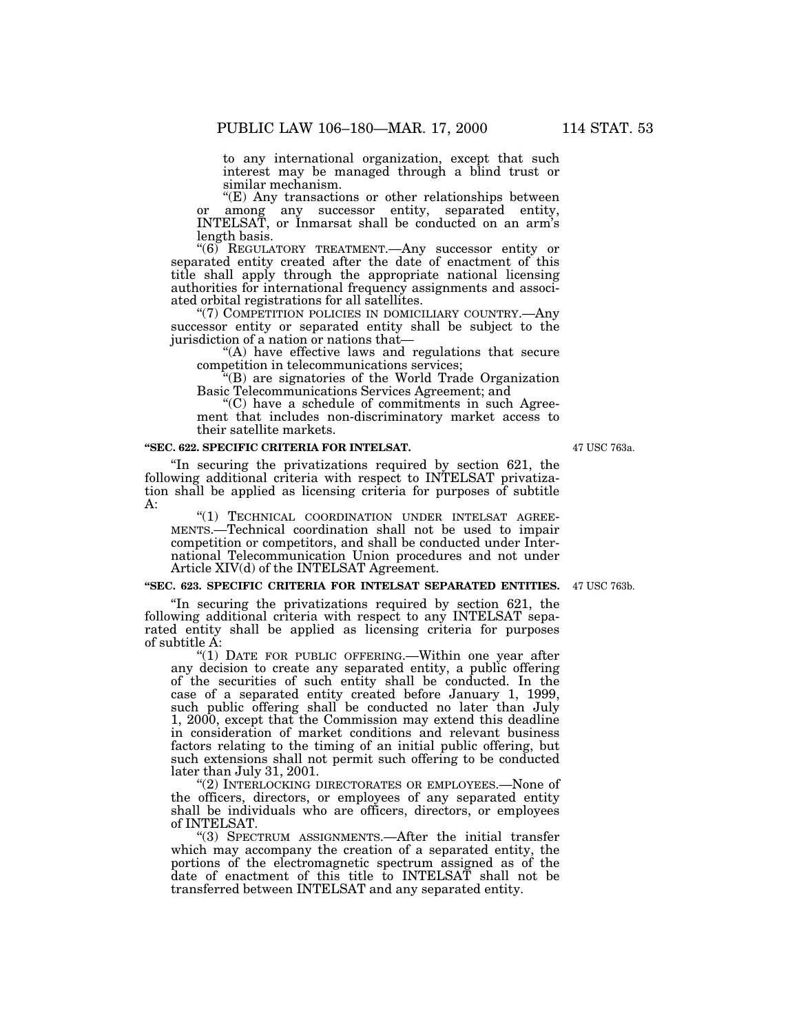to any international organization, except that such interest may be managed through a blind trust or similar mechanism.

 $E(E)$  Any transactions or other relationships between or among any successor entity, separated entity, INTELSAT, or Inmarsat shall be conducted on an arm's length basis.

''(6) REGULATORY TREATMENT.—Any successor entity or separated entity created after the date of enactment of this title shall apply through the appropriate national licensing authorities for international frequency assignments and associated orbital registrations for all satellites.

"(7) COMPETITION POLICIES IN DOMICILIARY COUNTRY.—Any successor entity or separated entity shall be subject to the jurisdiction of a nation or nations that—

''(A) have effective laws and regulations that secure competition in telecommunications services;

''(B) are signatories of the World Trade Organization Basic Telecommunications Services Agreement; and

''(C) have a schedule of commitments in such Agreement that includes non-discriminatory market access to their satellite markets.

#### **''SEC. 622. SPECIFIC CRITERIA FOR INTELSAT.**

"In securing the privatizations required by section 621, the following additional criteria with respect to INTELSAT privatization shall be applied as licensing criteria for purposes of subtitle A:

''(1) TECHNICAL COORDINATION UNDER INTELSAT AGREE- MENTS.—Technical coordination shall not be used to impair competition or competitors, and shall be conducted under International Telecommunication Union procedures and not under Article XIV(d) of the INTELSAT Agreement.

#### **''SEC. 623. SPECIFIC CRITERIA FOR INTELSAT SEPARATED ENTITIES.** 47 USC 763b.

''In securing the privatizations required by section 621, the following additional criteria with respect to any INTELSAT separated entity shall be applied as licensing criteria for purposes of subtitle A:

''(1) DATE FOR PUBLIC OFFERING.—Within one year after any decision to create any separated entity, a public offering of the securities of such entity shall be conducted. In the case of a separated entity created before January 1, 1999, such public offering shall be conducted no later than July 1, 2000, except that the Commission may extend this deadline in consideration of market conditions and relevant business factors relating to the timing of an initial public offering, but such extensions shall not permit such offering to be conducted later than July 31, 2001.

''(2) INTERLOCKING DIRECTORATES OR EMPLOYEES.—None of the officers, directors, or employees of any separated entity shall be individuals who are officers, directors, or employees of INTELSAT.

''(3) SPECTRUM ASSIGNMENTS.—After the initial transfer which may accompany the creation of a separated entity, the portions of the electromagnetic spectrum assigned as of the date of enactment of this title to INTELSAT shall not be transferred between INTELSAT and any separated entity.

47 USC 763a.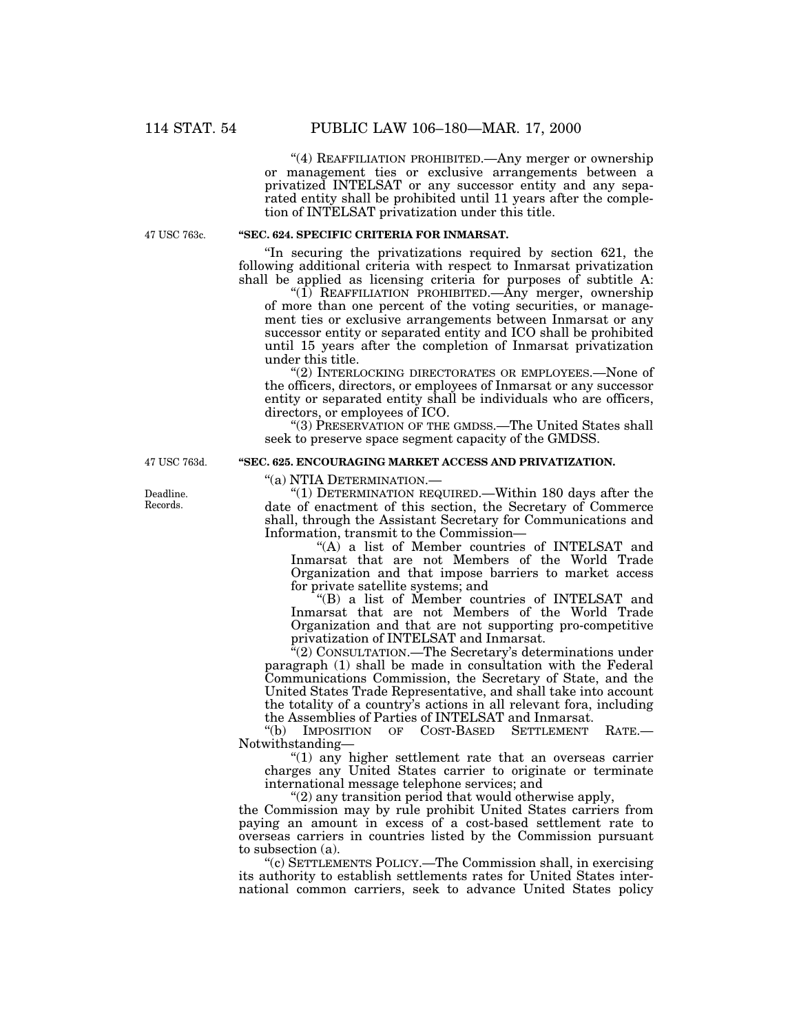"(4) REAFFILIATION PROHIBITED.—Any merger or ownership or management ties or exclusive arrangements between a privatized INTELSAT or any successor entity and any separated entity shall be prohibited until 11 years after the completion of INTELSAT privatization under this title.

47 USC 763c.

#### **''SEC. 624. SPECIFIC CRITERIA FOR INMARSAT.**

''In securing the privatizations required by section 621, the following additional criteria with respect to Inmarsat privatization shall be applied as licensing criteria for purposes of subtitle A:

" $(1)$  REAFFILIATION PROHIBITED.—Any merger, ownership of more than one percent of the voting securities, or management ties or exclusive arrangements between Inmarsat or any successor entity or separated entity and ICO shall be prohibited until 15 years after the completion of Inmarsat privatization under this title.

''(2) INTERLOCKING DIRECTORATES OR EMPLOYEES.—None of the officers, directors, or employees of Inmarsat or any successor entity or separated entity shall be individuals who are officers, directors, or employees of ICO.

''(3) PRESERVATION OF THE GMDSS.—The United States shall seek to preserve space segment capacity of the GMDSS.

### **''SEC. 625. ENCOURAGING MARKET ACCESS AND PRIVATIZATION.**

''(a) NTIA DETERMINATION.—

''(1) DETERMINATION REQUIRED.—Within 180 days after the date of enactment of this section, the Secretary of Commerce shall, through the Assistant Secretary for Communications and Information, transmit to the Commission—

"(A) a list of Member countries of INTELSAT and Inmarsat that are not Members of the World Trade Organization and that impose barriers to market access for private satellite systems; and

''(B) a list of Member countries of INTELSAT and Inmarsat that are not Members of the World Trade Organization and that are not supporting pro-competitive privatization of INTELSAT and Inmarsat.

 $*(2)$  CONSULTATION.—The Secretary's determinations under paragraph (1) shall be made in consultation with the Federal Communications Commission, the Secretary of State, and the United States Trade Representative, and shall take into account the totality of a country's actions in all relevant fora, including the Assemblies of Parties of INTELSAT and Inmarsat.

''(b) IMPOSITION OF COST-BASED SETTLEMENT RATE.— Notwithstanding—

''(1) any higher settlement rate that an overseas carrier charges any United States carrier to originate or terminate international message telephone services; and

''(2) any transition period that would otherwise apply,

the Commission may by rule prohibit United States carriers from paying an amount in excess of a cost-based settlement rate to overseas carriers in countries listed by the Commission pursuant to subsection (a).

''(c) SETTLEMENTS POLICY.—The Commission shall, in exercising its authority to establish settlements rates for United States international common carriers, seek to advance United States policy

Deadline. Records.

47 USC 763d.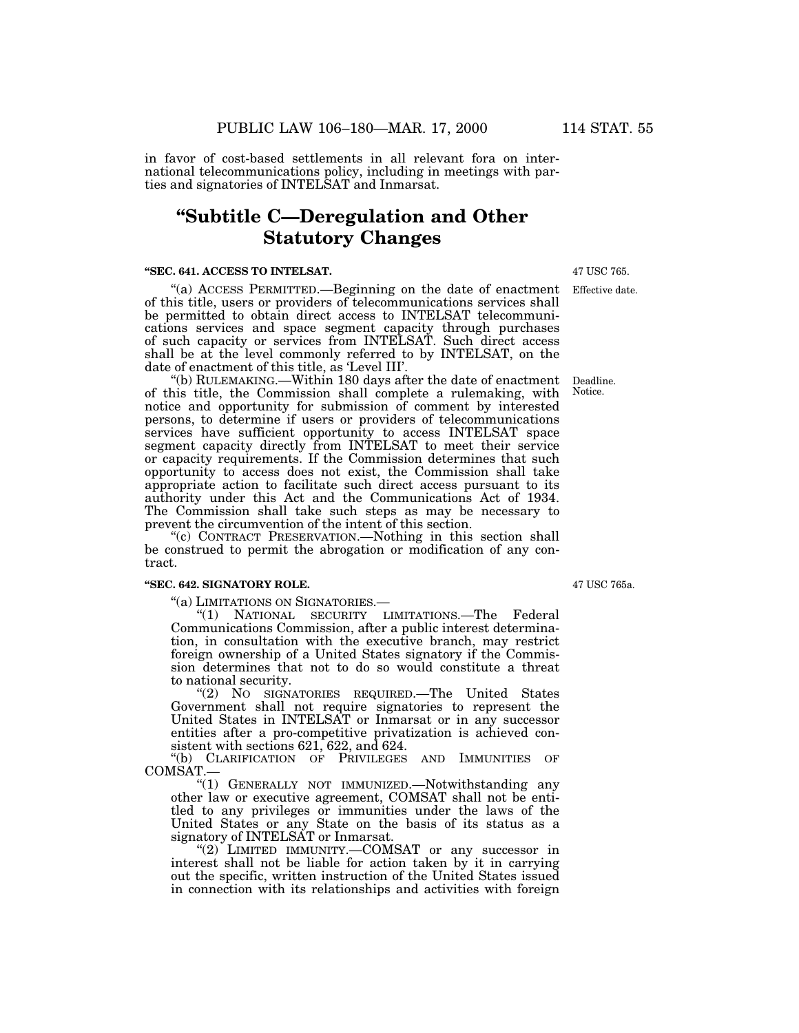in favor of cost-based settlements in all relevant fora on international telecommunications policy, including in meetings with parties and signatories of INTELSAT and Inmarsat.

# **''Subtitle C—Deregulation and Other Statutory Changes**

#### **''SEC. 641. ACCESS TO INTELSAT.**

(a) ACCESS PERMITTED.—Beginning on the date of enactment of this title, users or providers of telecommunications services shall be permitted to obtain direct access to INTELSAT telecommunications services and space segment capacity through purchases of such capacity or services from INTELSAT. Such direct access shall be at the level commonly referred to by INTELSAT, on the date of enactment of this title, as 'Level III'.

''(b) RULEMAKING.—Within 180 days after the date of enactment of this title, the Commission shall complete a rulemaking, with notice and opportunity for submission of comment by interested persons, to determine if users or providers of telecommunications services have sufficient opportunity to access INTELSAT space segment capacity directly from INTELSAT to meet their service or capacity requirements. If the Commission determines that such opportunity to access does not exist, the Commission shall take appropriate action to facilitate such direct access pursuant to its authority under this Act and the Communications Act of 1934. The Commission shall take such steps as may be necessary to prevent the circumvention of the intent of this section.

''(c) CONTRACT PRESERVATION.—Nothing in this section shall be construed to permit the abrogation or modification of any contract.

#### **''SEC. 642. SIGNATORY ROLE.**

''(a) LIMITATIONS ON SIGNATORIES.—

"(1) NATIONAL SECURITY LIMITATIONS.—The Federal Communications Commission, after a public interest determination, in consultation with the executive branch, may restrict foreign ownership of a United States signatory if the Commission determines that not to do so would constitute a threat to national security.

''(2) NO SIGNATORIES REQUIRED.—The United States Government shall not require signatories to represent the United States in INTELSAT or Inmarsat or in any successor entities after a pro-competitive privatization is achieved consistent with sections 621, 622, and 624.

''(b) CLARIFICATION OF PRIVILEGES AND IMMUNITIES OF COMSAT.—

"(1) GENERALLY NOT IMMUNIZED.—Notwithstanding any other law or executive agreement, COMSAT shall not be entitled to any privileges or immunities under the laws of the United States or any State on the basis of its status as a signatory of INTELSAT or Inmarsat.

" $(2)$  LIMITED IMMUNITY.—COMSAT or any successor in interest shall not be liable for action taken by it in carrying out the specific, written instruction of the United States issued in connection with its relationships and activities with foreign

47 USC 765.

Effective date.

Deadline. Notice.

47 USC 765a.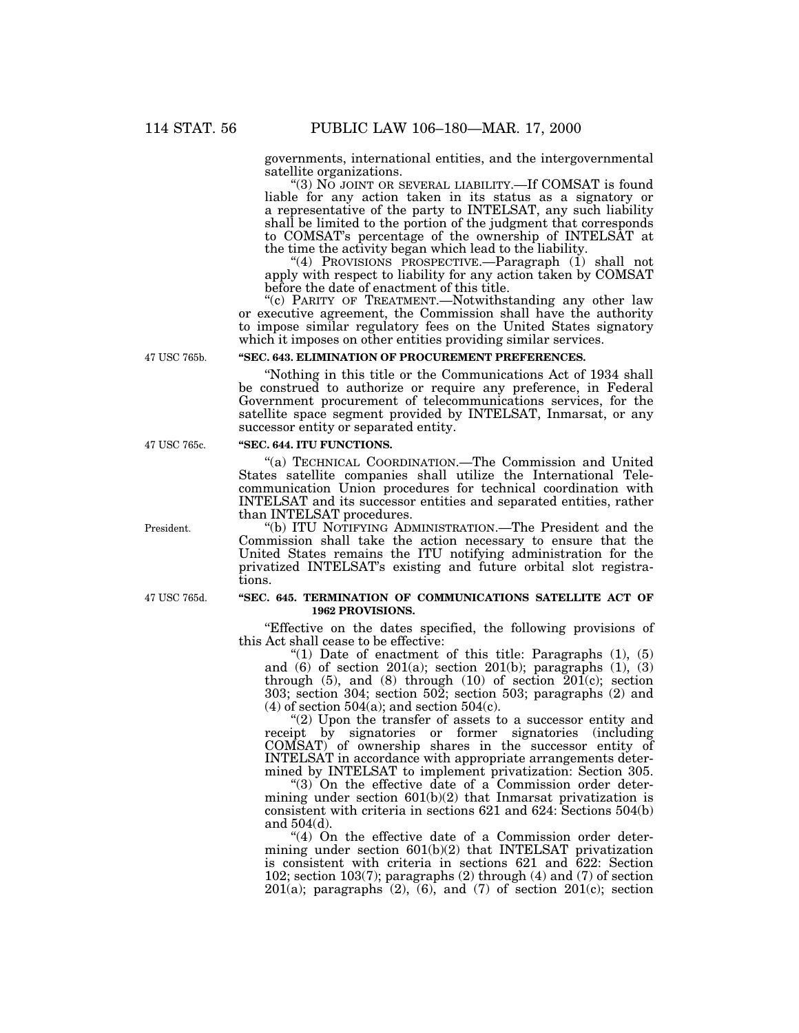governments, international entities, and the intergovernmental satellite organizations.

(3) NO JOINT OR SEVERAL LIABILITY.—If COMSAT is found liable for any action taken in its status as a signatory or a representative of the party to INTELSAT, any such liability shall be limited to the portion of the judgment that corresponds to COMSAT's percentage of the ownership of INTELSAT at the time the activity began which lead to the liability.

''(4) PROVISIONS PROSPECTIVE.—Paragraph (1) shall not apply with respect to liability for any action taken by COMSAT before the date of enactment of this title.

"(c) PARITY OF TREATMENT.—Notwithstanding any other law or executive agreement, the Commission shall have the authority to impose similar regulatory fees on the United States signatory which it imposes on other entities providing similar services.

### **''SEC. 643. ELIMINATION OF PROCUREMENT PREFERENCES.**

''Nothing in this title or the Communications Act of 1934 shall be construed to authorize or require any preference, in Federal Government procurement of telecommunications services, for the satellite space segment provided by INTELSAT, Inmarsat, or any successor entity or separated entity.

### **''SEC. 644. ITU FUNCTIONS.**

''(a) TECHNICAL COORDINATION.—The Commission and United States satellite companies shall utilize the International Telecommunication Union procedures for technical coordination with INTELSAT and its successor entities and separated entities, rather than INTELSAT procedures.

''(b) ITU NOTIFYING ADMINISTRATION.—The President and the Commission shall take the action necessary to ensure that the United States remains the ITU notifying administration for the privatized INTELSAT's existing and future orbital slot registrations.

#### **''SEC. 645. TERMINATION OF COMMUNICATIONS SATELLITE ACT OF 1962 PROVISIONS.**

''Effective on the dates specified, the following provisions of this Act shall cease to be effective:

 $(1)$  Date of enactment of this title: Paragraphs  $(1)$ ,  $(5)$ and  $(6)$  of section  $201(a)$ ; section  $201(b)$ ; paragraphs  $(1)$ ,  $(3)$ through (5), and (8) through (10) of section 201(c); section 303; section 304; section 502; section 503; paragraphs (2) and  $(4)$  of section 504 $(a)$ ; and section 504 $(c)$ .

" $(2)$  Upon the transfer of assets to a successor entity and receipt by signatories or former signatories (including COMSAT) of ownership shares in the successor entity of INTELSAT in accordance with appropriate arrangements determined by INTELSAT to implement privatization: Section 305.

"(3) On the effective date of a Commission order determining under section 601(b)(2) that Inmarsat privatization is consistent with criteria in sections 621 and 624: Sections 504(b) and 504(d).

 $(4)$  On the effective date of a Commission order determining under section  $601(b)(2)$  that INTELSAT privatization is consistent with criteria in sections 621 and 622: Section 102; section 103(7); paragraphs (2) through (4) and (7) of section  $201(a)$ ; paragraphs  $(2)$ ,  $(6)$ , and  $(7)$  of section  $201(c)$ ; section

47 USC 765b.

47 USC 765d.

President.

47 USC 765c.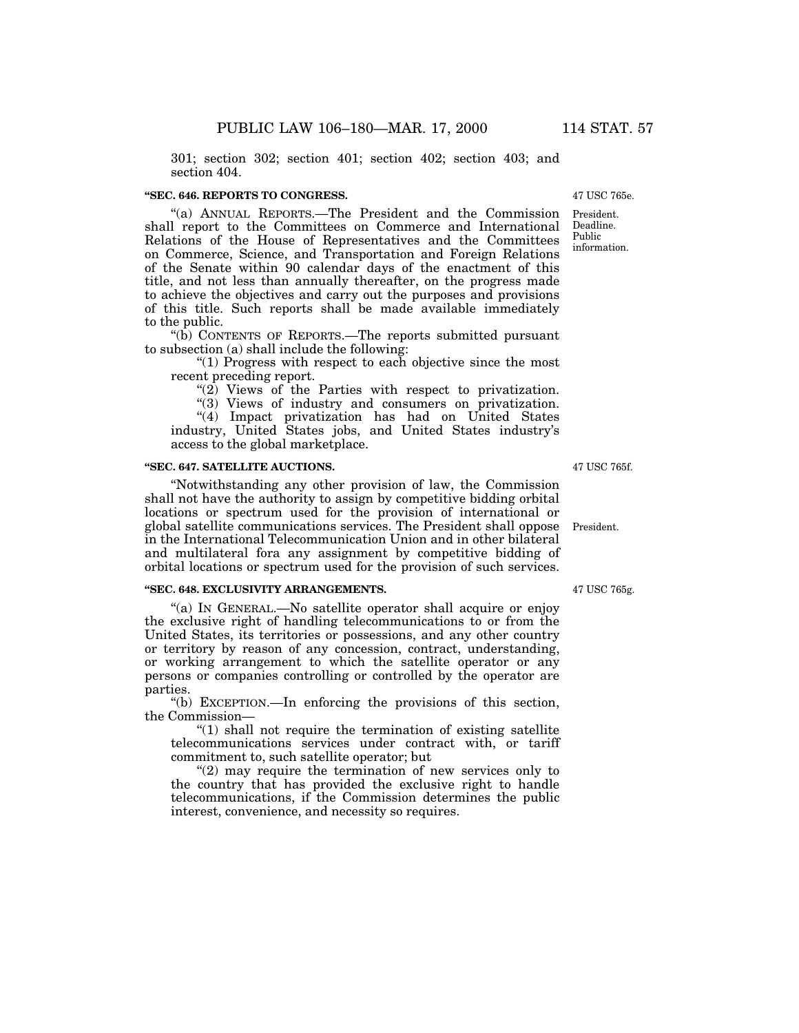301; section 302; section 401; section 402; section 403; and section 404.

#### **''SEC. 646. REPORTS TO CONGRESS.**

'(a) ANNUAL REPORTS.—The President and the Commission shall report to the Committees on Commerce and International Relations of the House of Representatives and the Committees on Commerce, Science, and Transportation and Foreign Relations of the Senate within 90 calendar days of the enactment of this title, and not less than annually thereafter, on the progress made to achieve the objectives and carry out the purposes and provisions of this title. Such reports shall be made available immediately to the public. President. Deadline. Public information.

"(b) CONTENTS OF REPORTS.—The reports submitted pursuant to subsection (a) shall include the following:

''(1) Progress with respect to each objective since the most recent preceding report.

" $(2)$  Views of the Parties with respect to privatization.

"(3) Views of industry and consumers on privatization. ''(4) Impact privatization has had on United States

industry, United States jobs, and United States industry's access to the global marketplace.

#### **''SEC. 647. SATELLITE AUCTIONS.**

''Notwithstanding any other provision of law, the Commission shall not have the authority to assign by competitive bidding orbital locations or spectrum used for the provision of international or global satellite communications services. The President shall oppose in the International Telecommunication Union and in other bilateral and multilateral fora any assignment by competitive bidding of orbital locations or spectrum used for the provision of such services.

### **''SEC. 648. EXCLUSIVITY ARRANGEMENTS.**

"(a) IN GENERAL.—No satellite operator shall acquire or enjoy the exclusive right of handling telecommunications to or from the United States, its territories or possessions, and any other country or territory by reason of any concession, contract, understanding, or working arrangement to which the satellite operator or any persons or companies controlling or controlled by the operator are parties.

''(b) EXCEPTION.—In enforcing the provisions of this section, the Commission—

" $(1)$  shall not require the termination of existing satellite telecommunications services under contract with, or tariff commitment to, such satellite operator; but

" $(2)$  may require the termination of new services only to the country that has provided the exclusive right to handle telecommunications, if the Commission determines the public interest, convenience, and necessity so requires.

47 USC 765f.

President.

47 USC 765g.

47 USC 765e.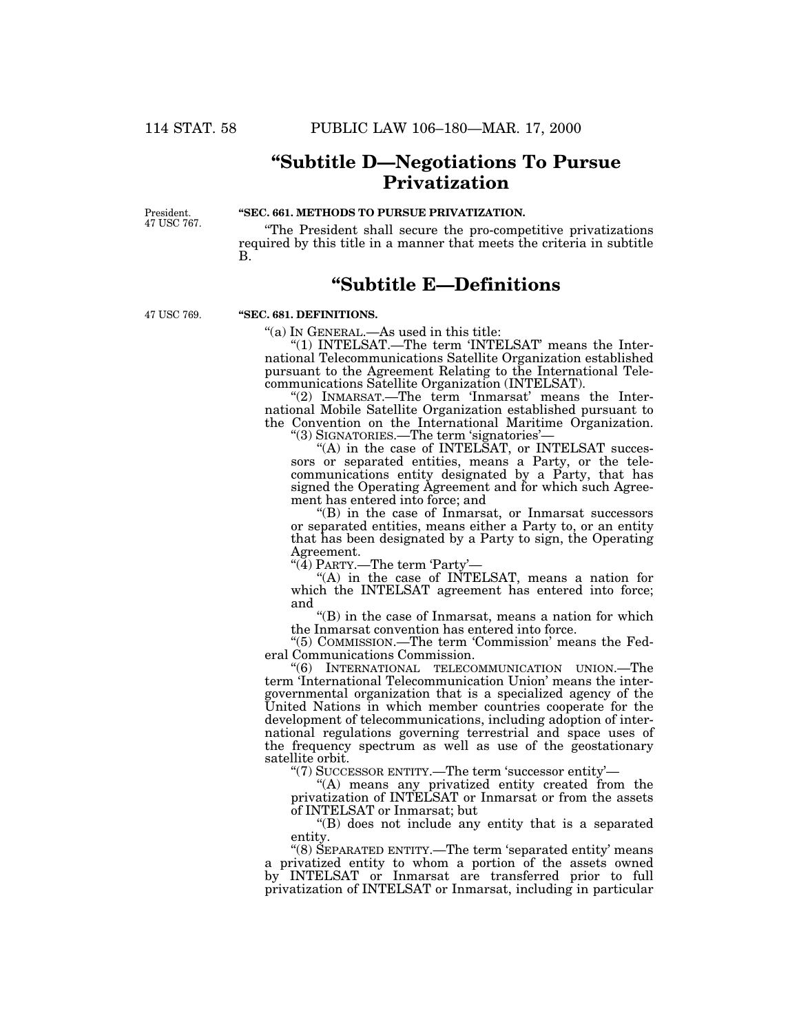# **''Subtitle D—Negotiations To Pursue Privatization**

President. 47 USC 767.

## **''SEC. 661. METHODS TO PURSUE PRIVATIZATION.**

''The President shall secure the pro-competitive privatizations required by this title in a manner that meets the criteria in subtitle B.

# **''Subtitle E—Definitions**

47 USC 769.

### **''SEC. 681. DEFINITIONS.**

''(a) IN GENERAL.—As used in this title:

"(1) INTELSAT.—The term 'INTELSAT' means the International Telecommunications Satellite Organization established pursuant to the Agreement Relating to the International Telecommunications Satellite Organization (INTELSAT).

"(2) INMARSAT.—The term 'Inmarsat' means the International Mobile Satellite Organization established pursuant to the Convention on the International Maritime Organization. ''(3) SIGNATORIES.—The term 'signatories'—

" $(A)$  in the case of INTELSAT, or INTELSAT successors or separated entities, means a Party, or the telecommunications entity designated by a Party, that has signed the Operating Agreement and for which such Agreement has entered into force; and

''(B) in the case of Inmarsat, or Inmarsat successors or separated entities, means either a Party to, or an entity that has been designated by a Party to sign, the Operating Agreement.

''(4) PARTY.—The term 'Party'—

"(A) in the case of INTELSAT, means a nation for which the INTELSAT agreement has entered into force; and

''(B) in the case of Inmarsat, means a nation for which the Inmarsat convention has entered into force.

"(5) COMMISSION.—The term 'Commission' means the Federal Communications Commission.

''(6) INTERNATIONAL TELECOMMUNICATION UNION.—The term 'International Telecommunication Union' means the intergovernmental organization that is a specialized agency of the United Nations in which member countries cooperate for the development of telecommunications, including adoption of international regulations governing terrestrial and space uses of the frequency spectrum as well as use of the geostationary satellite orbit.

''(7) SUCCESSOR ENTITY.—The term 'successor entity'—

"(A) means any privatized entity created from the privatization of INTELSAT or Inmarsat or from the assets of INTELSAT or Inmarsat; but

''(B) does not include any entity that is a separated entity.

''(8) SEPARATED ENTITY.—The term 'separated entity' means a privatized entity to whom a portion of the assets owned by INTELSAT or Inmarsat are transferred prior to full privatization of INTELSAT or Inmarsat, including in particular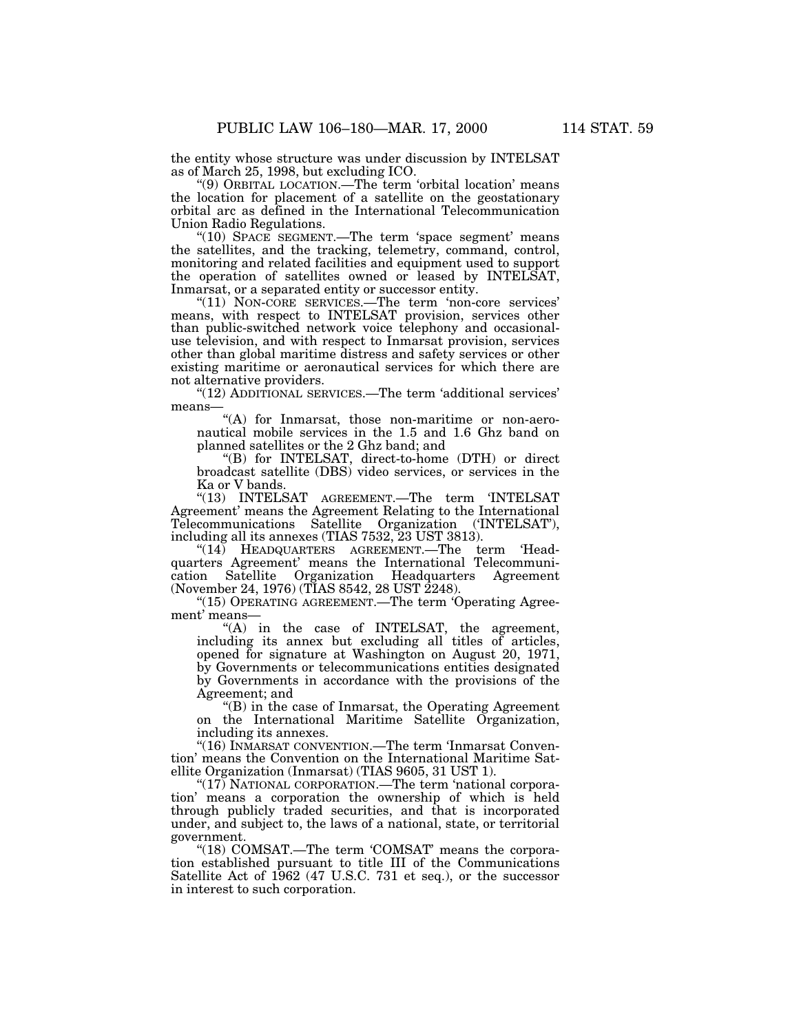the entity whose structure was under discussion by INTELSAT as of March 25, 1998, but excluding ICO.

''(9) ORBITAL LOCATION.—The term 'orbital location' means the location for placement of a satellite on the geostationary orbital arc as defined in the International Telecommunication Union Radio Regulations.

"(10) SPACE SEGMENT.—The term 'space segment' means the satellites, and the tracking, telemetry, command, control, monitoring and related facilities and equipment used to support the operation of satellites owned or leased by INTELSAT, Inmarsat, or a separated entity or successor entity.

''(11) NON-CORE SERVICES.—The term 'non-core services' means, with respect to INTELSAT provision, services other than public-switched network voice telephony and occasionaluse television, and with respect to Inmarsat provision, services other than global maritime distress and safety services or other existing maritime or aeronautical services for which there are not alternative providers.

"(12) ADDITIONAL SERVICES.—The term 'additional services' means—

"(A) for Inmarsat, those non-maritime or non-aeronautical mobile services in the 1.5 and 1.6 Ghz band on planned satellites or the 2 Ghz band; and

''(B) for INTELSAT, direct-to-home (DTH) or direct broadcast satellite (DBS) video services, or services in the Ka or V bands.

''(13) INTELSAT AGREEMENT.—The term 'INTELSAT Agreement' means the Agreement Relating to the International Telecommunications Satellite Organization ('INTELSAT'), including all its annexes (TIAS 7532, 23 UST 3813).

"(14) HEADQUARTERS AGREEMENT.—The term 'Headquarters Agreement' means the International Telecommunication Satellite Organization Headquarters Agreement (November 24, 1976) (TIAS 8542, 28 UST 2248).

"(15) OPERATING AGREEMENT.—The term 'Operating Agreement' means—

"(A) in the case of INTELSAT, the agreement, including its annex but excluding all titles of articles, opened for signature at Washington on August 20, 1971, by Governments or telecommunications entities designated by Governments in accordance with the provisions of the Agreement; and

''(B) in the case of Inmarsat, the Operating Agreement on the International Maritime Satellite Organization, including its annexes.

"(16) INMARSAT CONVENTION.—The term 'Inmarsat Convention' means the Convention on the International Maritime Satellite Organization (Inmarsat) (TIAS 9605, 31 UST 1).

" $(17)$  NATIONAL CORPORATION.—The term 'national corporation' means a corporation the ownership of which is held through publicly traded securities, and that is incorporated under, and subject to, the laws of a national, state, or territorial government.

"(18) COMSAT.—The term 'COMSAT' means the corporation established pursuant to title III of the Communications Satellite Act of 1962 (47 U.S.C. 731 et seq.), or the successor in interest to such corporation.